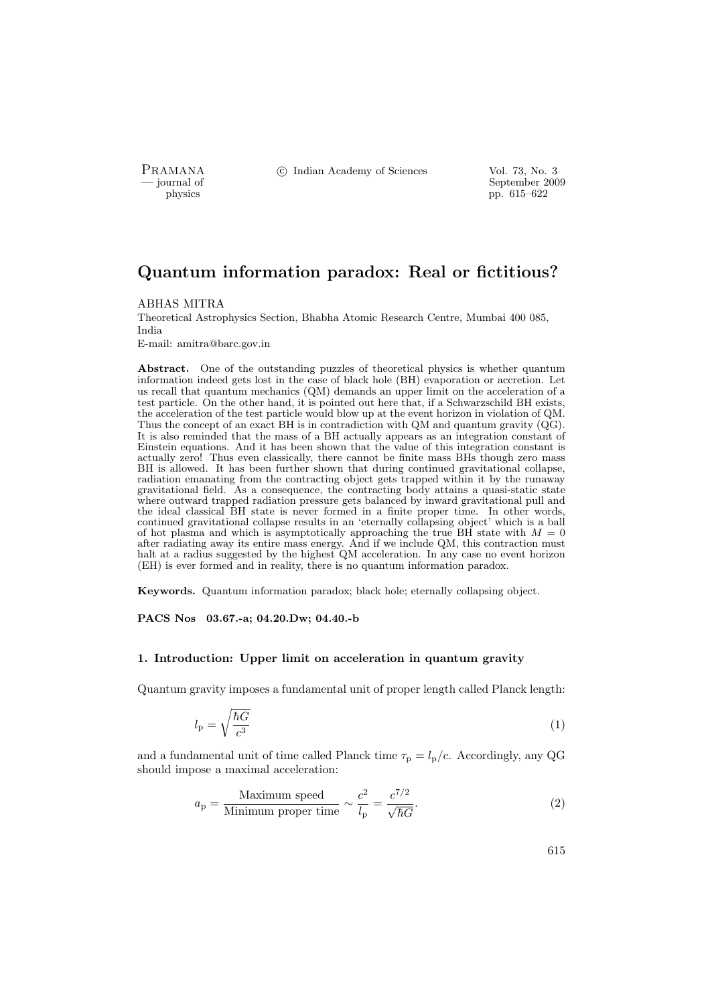PRAMANA <sup>C</sup> Indian Academy of Sciences Vol. 73, No. 3<br>
— iournal of September 200

position of the september 2009 of the September 2009 of the September 2009 of the September 2009 pp. 615–622

# Quantum information paradox: Real or fictitious?

#### ABHAS MITRA

Theoretical Astrophysics Section, Bhabha Atomic Research Centre, Mumbai 400 085, India

E-mail: amitra@barc.gov.in

Abstract. One of the outstanding puzzles of theoretical physics is whether quantum information indeed gets lost in the case of black hole (BH) evaporation or accretion. Let us recall that quantum mechanics (QM) demands an upper limit on the acceleration of a test particle. On the other hand, it is pointed out here that, if a Schwarzschild BH exists, the acceleration of the test particle would blow up at the event horizon in violation of QM. Thus the concept of an exact BH is in contradiction with QM and quantum gravity (QG). It is also reminded that the mass of a BH actually appears as an integration constant of Einstein equations. And it has been shown that the value of this integration constant is actually zero! Thus even classically, there cannot be finite mass BHs though zero mass BH is allowed. It has been further shown that during continued gravitational collapse, radiation emanating from the contracting object gets trapped within it by the runaway gravitational field. As a consequence, the contracting body attains a quasi-static state where outward trapped radiation pressure gets balanced by inward gravitational pull and the ideal classical BH state is never formed in a finite proper time. In other words, continued gravitational collapse results in an 'eternally collapsing object' which is a ball of hot plasma and which is asymptotically approaching the true BH state with  $M = 0$ after radiating away its entire mass energy. And if we include QM, this contraction must halt at a radius suggested by the highest QM acceleration. In any case no event horizon (EH) is ever formed and in reality, there is no quantum information paradox.

Keywords. Quantum information paradox; black hole; eternally collapsing object.

### PACS Nos 03.67.-a; 04.20.Dw; 04.40.-b

### 1. Introduction: Upper limit on acceleration in quantum gravity

Quantum gravity imposes a fundamental unit of proper length called Planck length:

$$
l_{\rm p} = \sqrt{\frac{\hbar G}{c^3}}\tag{1}
$$

and a fundamental unit of time called Planck time  $\tau_{\rm p} = l_{\rm p}/c$ . Accordingly, any QG should impose a maximal acceleration:

$$
a_{\rm p} = \frac{\text{Maximum speed}}{\text{Minimum proper time}} \sim \frac{c^2}{l_{\rm p}} = \frac{c^{7/2}}{\sqrt{\hbar G}}.\tag{2}
$$

615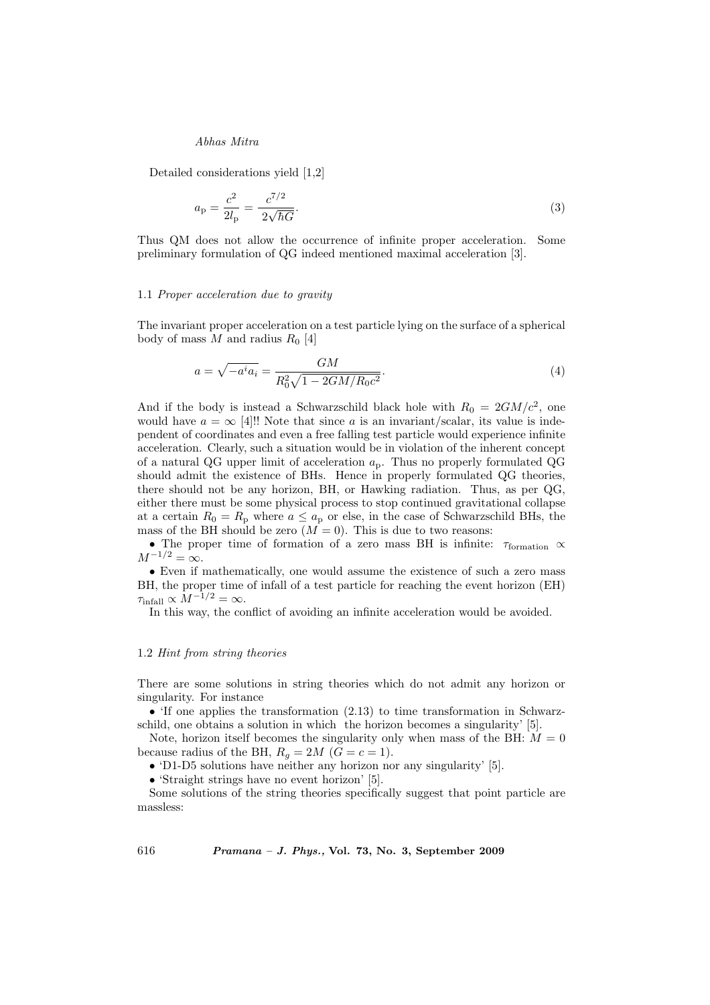Detailed considerations yield [1,2]

$$
a_{\rm p} = \frac{c^2}{2l_{\rm p}} = \frac{c^{7/2}}{2\sqrt{\hbar G}}.\tag{3}
$$

Thus QM does not allow the occurrence of infinite proper acceleration. Some preliminary formulation of QG indeed mentioned maximal acceleration [3].

#### 1.1 Proper acceleration due to gravity

The invariant proper acceleration on a test particle lying on the surface of a spherical body of mass M and radius  $R_0$  [4]

$$
a = \sqrt{-a^i a_i} = \frac{GM}{R_0^2 \sqrt{1 - 2GM/R_0 c^2}}.\tag{4}
$$

And if the body is instead a Schwarzschild black hole with  $R_0 = 2GM/c^2$ , one would have  $a = \infty$  [4]!! Note that since a is an invariant/scalar, its value is independent of coordinates and even a free falling test particle would experience infinite acceleration. Clearly, such a situation would be in violation of the inherent concept of a natural QG upper limit of acceleration  $a_p$ . Thus no properly formulated QG should admit the existence of BHs. Hence in properly formulated QG theories, there should not be any horizon, BH, or Hawking radiation. Thus, as per QG, either there must be some physical process to stop continued gravitational collapse at a certain  $R_0 = R_p$  where  $a \le a_p$  or else, in the case of Schwarzschild BHs, the mass of the BH should be zero  $(M = 0)$ . This is due to two reasons:

• The proper time of formation of a zero mass BH is infinite:  $\tau_{\text{formation}} \propto$  $M^{-1/2} = \infty$ .

• Even if mathematically, one would assume the existence of such a zero mass BH, the proper time of infall of a test particle for reaching the event horizon (EH)  $\tau_{\text{infall}} \propto M^{-1/2} = \infty.$ 

In this way, the conflict of avoiding an infinite acceleration would be avoided.

### 1.2 Hint from string theories

There are some solutions in string theories which do not admit any horizon or singularity. For instance

• 'If one applies the transformation (2.13) to time transformation in Schwarzschild, one obtains a solution in which the horizon becomes a singularity' [5].

Note, horizon itself becomes the singularity only when mass of the BH:  $M = 0$ because radius of the BH,  $R_q = 2M$  ( $\tilde{G} = c = 1$ ).

• 'D1-D5 solutions have neither any horizon nor any singularity' [5].

• 'Straight strings have no event horizon' [5].

Some solutions of the string theories specifically suggest that point particle are massless:

616 Pramana – J. Phys., Vol. 73, No. 3, September 2009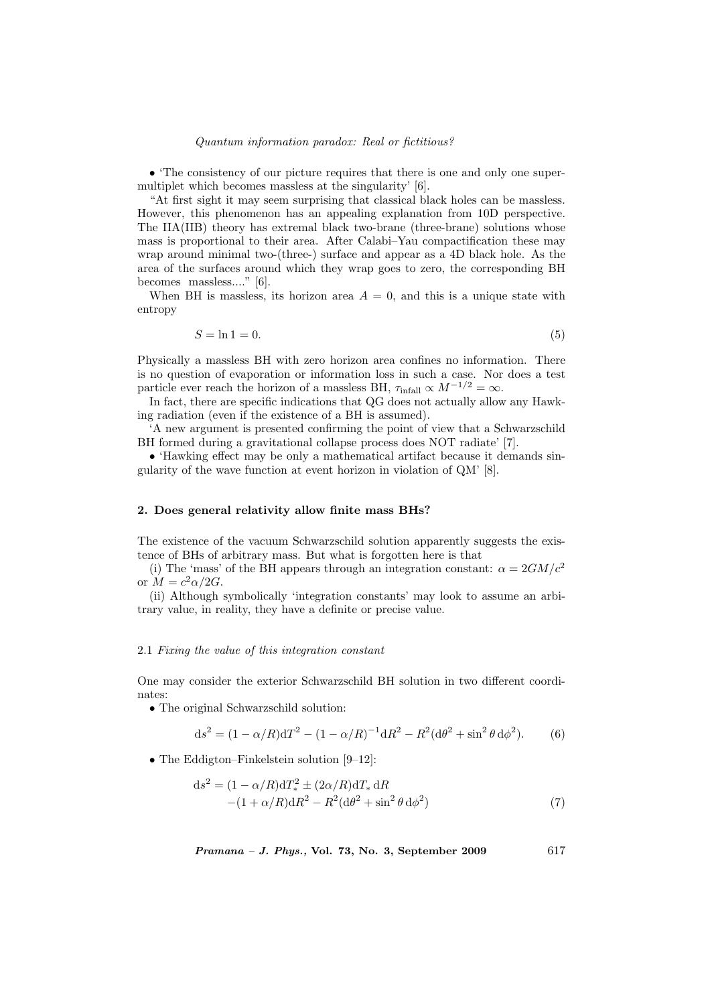#### Quantum information paradox: Real or fictitious?

• 'The consistency of our picture requires that there is one and only one supermultiplet which becomes massless at the singularity' [6].

"At first sight it may seem surprising that classical black holes can be massless. However, this phenomenon has an appealing explanation from 10D perspective. The IIA(IIB) theory has extremal black two-brane (three-brane) solutions whose mass is proportional to their area. After Calabi–Yau compactification these may wrap around minimal two-(three-) surface and appear as a 4D black hole. As the area of the surfaces around which they wrap goes to zero, the corresponding BH becomes massless...." [6].

When BH is massless, its horizon area  $A = 0$ , and this is a unique state with entropy

$$
S = \ln 1 = 0.\tag{5}
$$

Physically a massless BH with zero horizon area confines no information. There is no question of evaporation or information loss in such a case. Nor does a test particle ever reach the horizon of a massless BH,  $\tau_{\text{infall}} \propto M^{-1/2} = \infty$ .

In fact, there are specific indications that QG does not actually allow any Hawking radiation (even if the existence of a BH is assumed).

'A new argument is presented confirming the point of view that a Schwarzschild BH formed during a gravitational collapse process does NOT radiate' [7].

• 'Hawking effect may be only a mathematical artifact because it demands singularity of the wave function at event horizon in violation of QM' [8].

### 2. Does general relativity allow finite mass BHs?

The existence of the vacuum Schwarzschild solution apparently suggests the existence of BHs of arbitrary mass. But what is forgotten here is that

(i) The 'mass' of the BH appears through an integration constant:  $\alpha = 2GM/c^2$ or  $M = c^2 \alpha / 2G$ .

(ii) Although symbolically 'integration constants' may look to assume an arbitrary value, in reality, they have a definite or precise value.

## 2.1 Fixing the value of this integration constant

One may consider the exterior Schwarzschild BH solution in two different coordinates:

• The original Schwarzschild solution:

$$
ds^{2} = (1 - \alpha/R)dT^{2} - (1 - \alpha/R)^{-1}dR^{2} - R^{2}(d\theta^{2} + \sin^{2}\theta d\phi^{2}).
$$
 (6)

• The Eddigton–Finkelstein solution [9–12]:

$$
ds2 = (1 - \alpha/R)dT*2 \pm (2\alpha/R)dT* dR -(1 + \alpha/R)dR2 - R2(d\theta2 + sin2\theta d\phi2)
$$
 (7)

 $Pramana - J. Phys., Vol. 73, No. 3, September 2009 617$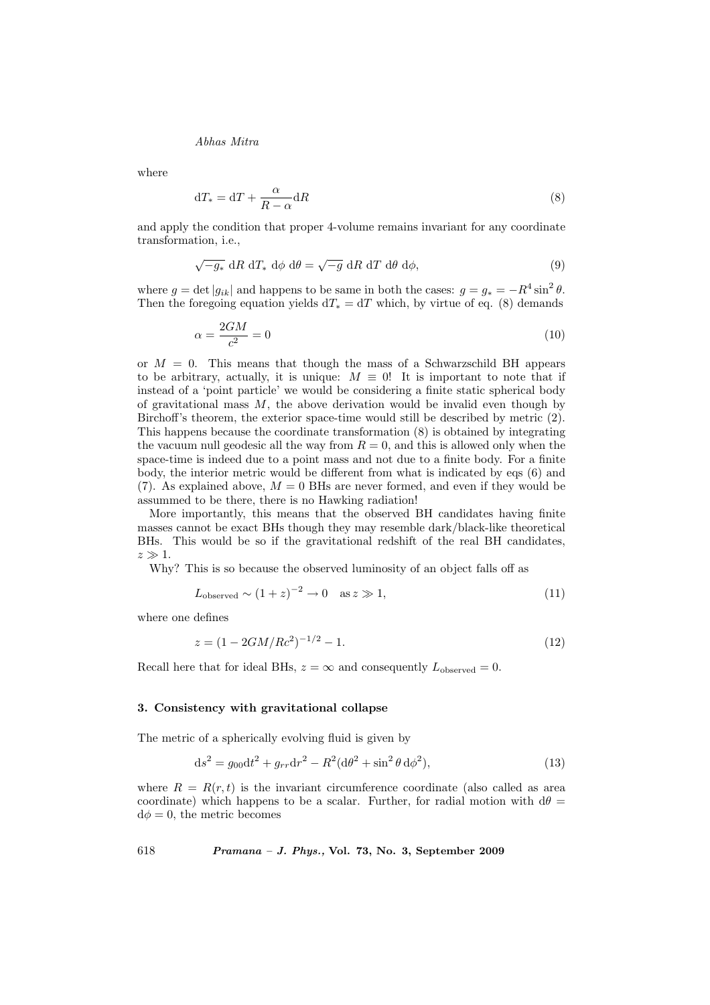where

$$
dT_* = dT + \frac{\alpha}{R - \alpha} dR \tag{8}
$$

and apply the condition that proper 4-volume remains invariant for any coordinate transformation, i.e.,

$$
\sqrt{-g_*} \, dR \, dT_* \, d\phi \, d\theta = \sqrt{-g} \, dR \, dT \, d\theta \, d\phi,\tag{9}
$$

where  $g = \det|g_{ik}|$  and happens to be same in both the cases:  $g = g_* = -R^4 \sin^2 \theta$ . Then the foregoing equation yields  $dT_* = dT$  which, by virtue of eq. (8) demands

$$
\alpha = \frac{2GM}{c^2} = 0\tag{10}
$$

or  $M = 0$ . This means that though the mass of a Schwarzschild BH appears to be arbitrary, actually, it is unique:  $M \equiv 0!$  It is important to note that if instead of a 'point particle' we would be considering a finite static spherical body of gravitational mass  $M$ , the above derivation would be invalid even though by Birchoff's theorem, the exterior space-time would still be described by metric (2). This happens because the coordinate transformation (8) is obtained by integrating the vacuum null geodesic all the way from  $R = 0$ , and this is allowed only when the space-time is indeed due to a point mass and not due to a finite body. For a finite body, the interior metric would be different from what is indicated by eqs (6) and (7). As explained above,  $M = 0$  BHs are never formed, and even if they would be assummed to be there, there is no Hawking radiation!

More importantly, this means that the observed BH candidates having finite masses cannot be exact BHs though they may resemble dark/black-like theoretical BHs. This would be so if the gravitational redshift of the real BH candidates,  $z \gg 1$ .

Why? This is so because the observed luminosity of an object falls off as

$$
L_{\text{observed}} \sim (1+z)^{-2} \to 0 \quad \text{as } z \gg 1,
$$
\n(11)

where one defines

$$
z = (1 - 2GM/Rc^2)^{-1/2} - 1.
$$
\n(12)

Recall here that for ideal BHs,  $z = \infty$  and consequently  $L_{\text{observed}} = 0$ .

#### 3. Consistency with gravitational collapse

The metric of a spherically evolving fluid is given by

$$
ds^{2} = g_{00}dt^{2} + g_{rr}dr^{2} - R^{2}(d\theta^{2} + \sin^{2}\theta d\phi^{2}),
$$
\n(13)

where  $R = R(r, t)$  is the invariant circumference coordinate (also called as area coordinate) which happens to be a scalar. Further, for radial motion with  $d\theta =$  $d\phi = 0$ , the metric becomes

618 Pramana – J. Phys., Vol. 73, No. 3, September 2009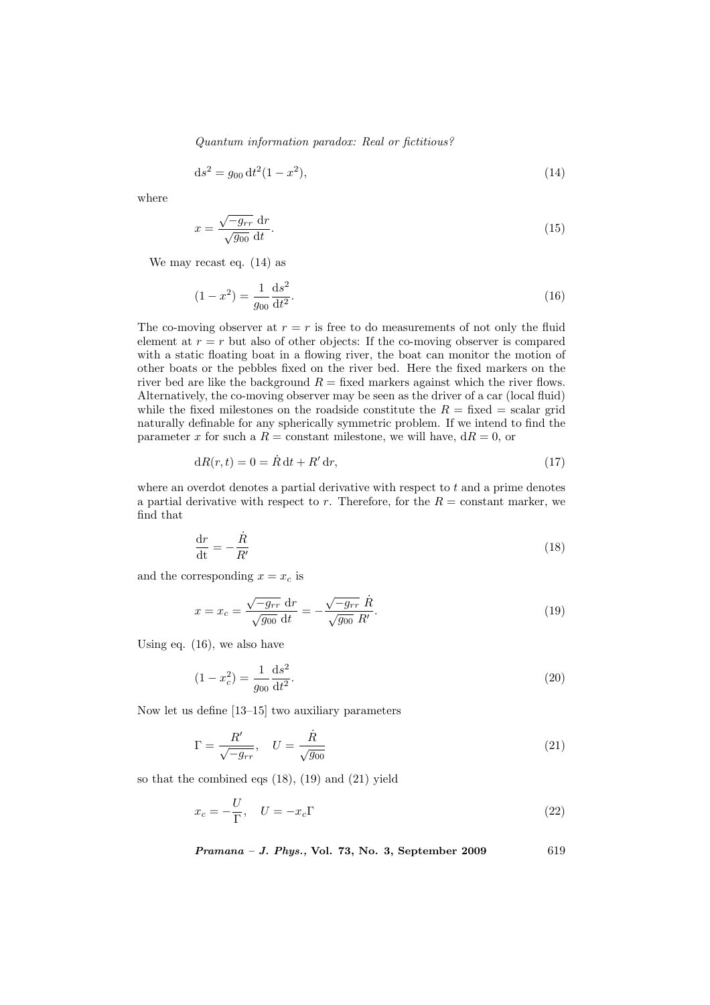Quantum information paradox: Real or fictitious?

$$
ds^2 = g_{00} dt^2 (1 - x^2), \tag{14}
$$

where

$$
x = \frac{\sqrt{-g_{rr}} dr}{\sqrt{g_{00}} dt}.
$$
\n(15)

We may recast eq. (14) as

$$
(1 - x^2) = \frac{1}{g_{00}} \frac{\mathrm{d}s^2}{\mathrm{d}t^2}.
$$
\n(16)

The co-moving observer at  $r = r$  is free to do measurements of not only the fluid element at  $r = r$  but also of other objects: If the co-moving observer is compared with a static floating boat in a flowing river, the boat can monitor the motion of other boats or the pebbles fixed on the river bed. Here the fixed markers on the river bed are like the background  $R =$  fixed markers against which the river flows. Alternatively, the co-moving observer may be seen as the driver of a car (local fluid) while the fixed milestones on the roadside constitute the  $R =$  fixed  $=$  scalar grid naturally definable for any spherically symmetric problem. If we intend to find the parameter x for such a  $R =$  constant milestone, we will have,  $dR = 0$ , or

$$
dR(r,t) = 0 = \dot{R} dt + R' dr,
$$
\n(17)

where an overdot denotes a partial derivative with respect to  $t$  and a prime denotes a partial derivative with respect to r. Therefore, for the  $R = constant$  marker, we find that

$$
\frac{\mathrm{d}r}{\mathrm{d}t} = -\frac{\dot{R}}{R'}\tag{18}
$$

and the corresponding  $x = x_c$  is

$$
x = x_c = \frac{\sqrt{-g_{rr}} dr}{\sqrt{g_{00}} dt} = -\frac{\sqrt{-g_{rr}} \dot{R}}{\sqrt{g_{00}} R'}.
$$
\n(19)

Using eq. (16), we also have

$$
(1 - x_c^2) = \frac{1}{g_{00}} \frac{\mathrm{d}s^2}{\mathrm{d}t^2}.
$$
\n(20)

Now let us define [13–15] two auxiliary parameters

$$
\Gamma = \frac{R'}{\sqrt{-g_{rr}}}, \quad U = \frac{\dot{R}}{\sqrt{g_{00}}}
$$
\n(21)

so that the combined eqs (18), (19) and (21) yield

$$
x_c = -\frac{U}{\Gamma}, \quad U = -x_c \Gamma \tag{22}
$$

Pramana - J. Phys., Vol. 73, No. 3, September 2009 619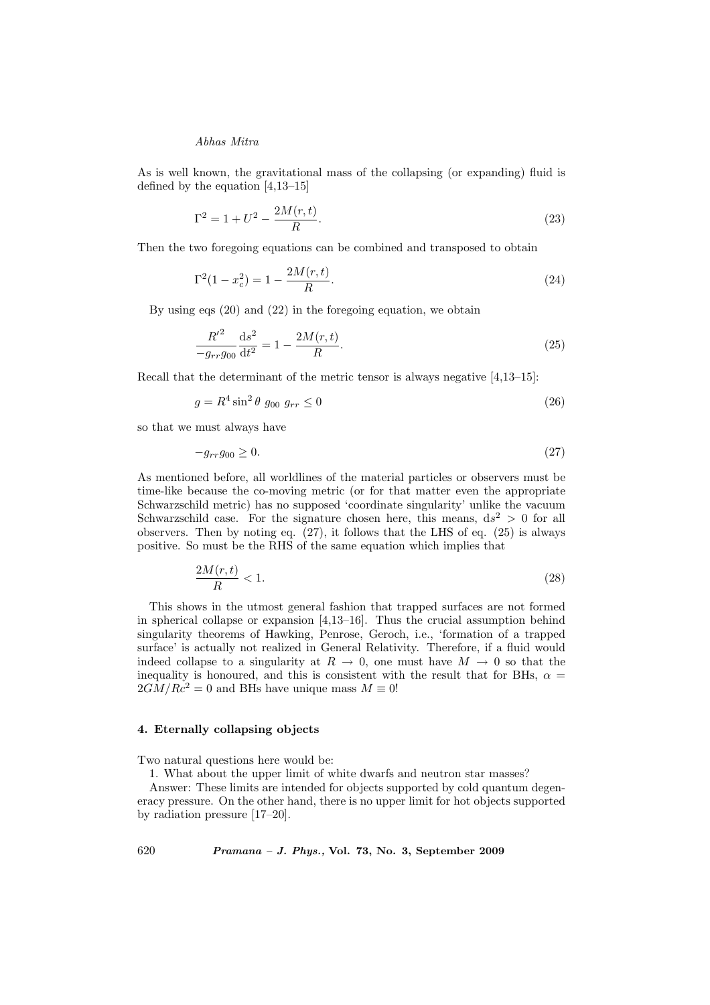As is well known, the gravitational mass of the collapsing (or expanding) fluid is defined by the equation [4,13–15]

$$
\Gamma^2 = 1 + U^2 - \frac{2M(r, t)}{R}.\tag{23}
$$

Then the two foregoing equations can be combined and transposed to obtain

$$
\Gamma^2(1 - x_c^2) = 1 - \frac{2M(r, t)}{R}.\tag{24}
$$

By using eqs (20) and (22) in the foregoing equation, we obtain

$$
\frac{R'^2}{-g_{rr}g_{00}}\frac{\mathrm{d}s^2}{\mathrm{d}t^2} = 1 - \frac{2M(r,t)}{R}.\tag{25}
$$

Recall that the determinant of the metric tensor is always negative [4,13–15]:

$$
g = R^4 \sin^2 \theta \ g_{00} \ g_{rr} \le 0 \tag{26}
$$

so that we must always have

$$
-g_{rr}g_{00} \ge 0. \tag{27}
$$

As mentioned before, all worldlines of the material particles or observers must be time-like because the co-moving metric (or for that matter even the appropriate Schwarzschild metric) has no supposed 'coordinate singularity' unlike the vacuum Schwarzschild case. For the signature chosen here, this means,  $ds^2 > 0$  for all observers. Then by noting eq.  $(27)$ , it follows that the LHS of eq.  $(25)$  is always positive. So must be the RHS of the same equation which implies that

$$
\frac{2M(r,t)}{R} < 1.\tag{28}
$$

This shows in the utmost general fashion that trapped surfaces are not formed in spherical collapse or expansion [4,13–16]. Thus the crucial assumption behind singularity theorems of Hawking, Penrose, Geroch, i.e., 'formation of a trapped surface' is actually not realized in General Relativity. Therefore, if a fluid would indeed collapse to a singularity at  $R \to 0$ , one must have  $M \to 0$  so that the inequality is honoured, and this is consistent with the result that for BHs,  $\alpha =$  $2GM/Rc^2 = 0$  and BHs have unique mass  $M \equiv 0!$ 

## 4. Eternally collapsing objects

Two natural questions here would be:

1. What about the upper limit of white dwarfs and neutron star masses?

Answer: These limits are intended for objects supported by cold quantum degeneracy pressure. On the other hand, there is no upper limit for hot objects supported by radiation pressure [17–20].

620 Pramana – J. Phys., Vol. 73, No. 3, September 2009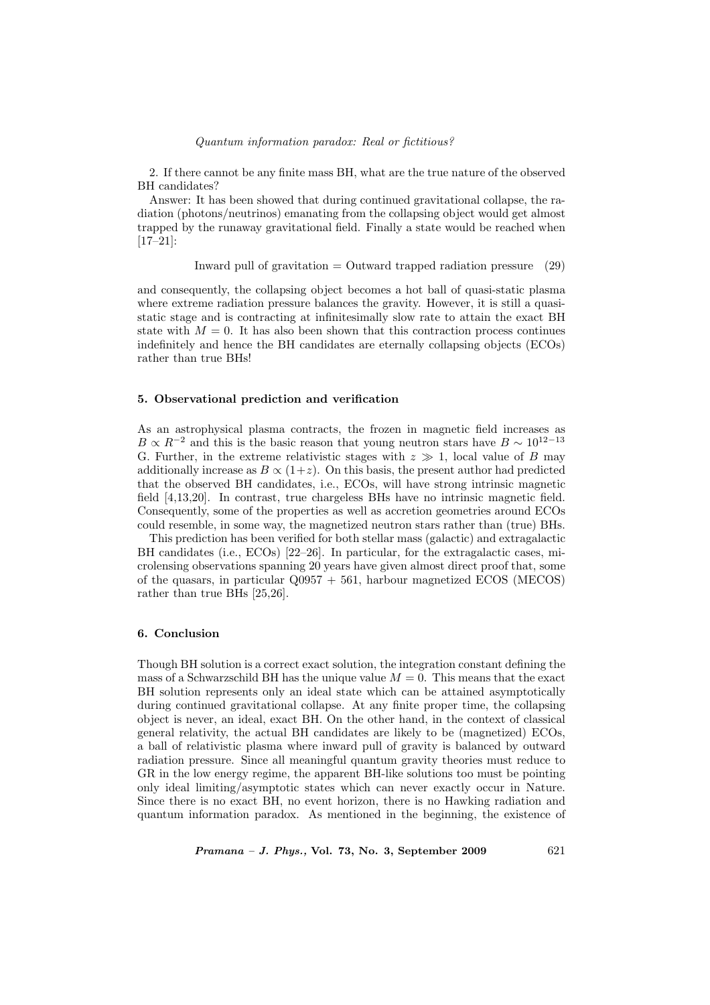#### Quantum information paradox: Real or fictitious?

2. If there cannot be any finite mass BH, what are the true nature of the observed BH candidates?

Answer: It has been showed that during continued gravitational collapse, the radiation (photons/neutrinos) emanating from the collapsing object would get almost trapped by the runaway gravitational field. Finally a state would be reached when [17–21]:

$$
Inward pull of gravitation = Outward trapped radiation pressure (29)
$$

and consequently, the collapsing object becomes a hot ball of quasi-static plasma where extreme radiation pressure balances the gravity. However, it is still a quasistatic stage and is contracting at infinitesimally slow rate to attain the exact BH state with  $M = 0$ . It has also been shown that this contraction process continues indefinitely and hence the BH candidates are eternally collapsing objects (ECOs) rather than true BHs!

### 5. Observational prediction and verification

As an astrophysical plasma contracts, the frozen in magnetic field increases as  $B \propto R^{-2}$  and this is the basic reason that young neutron stars have  $B \sim 10^{12-13}$ G. Further, in the extreme relativistic stages with  $z \gg 1$ , local value of B may additionally increase as  $B \propto (1+z)$ . On this basis, the present author had predicted that the observed BH candidates, i.e., ECOs, will have strong intrinsic magnetic field [4,13,20]. In contrast, true chargeless BHs have no intrinsic magnetic field. Consequently, some of the properties as well as accretion geometries around ECOs could resemble, in some way, the magnetized neutron stars rather than (true) BHs.

This prediction has been verified for both stellar mass (galactic) and extragalactic BH candidates (i.e., ECOs) [22–26]. In particular, for the extragalactic cases, microlensing observations spanning 20 years have given almost direct proof that, some of the quasars, in particular  $Q0957 + 561$ , harbour magnetized ECOS (MECOS) rather than true BHs [25,26].

## 6. Conclusion

Though BH solution is a correct exact solution, the integration constant defining the mass of a Schwarzschild BH has the unique value  $M = 0$ . This means that the exact BH solution represents only an ideal state which can be attained asymptotically during continued gravitational collapse. At any finite proper time, the collapsing object is never, an ideal, exact BH. On the other hand, in the context of classical general relativity, the actual BH candidates are likely to be (magnetized) ECOs, a ball of relativistic plasma where inward pull of gravity is balanced by outward radiation pressure. Since all meaningful quantum gravity theories must reduce to GR in the low energy regime, the apparent BH-like solutions too must be pointing only ideal limiting/asymptotic states which can never exactly occur in Nature. Since there is no exact BH, no event horizon, there is no Hawking radiation and quantum information paradox. As mentioned in the beginning, the existence of

 $Pramana - J. Phys., Vol. 73, No. 3, September 2009$  621